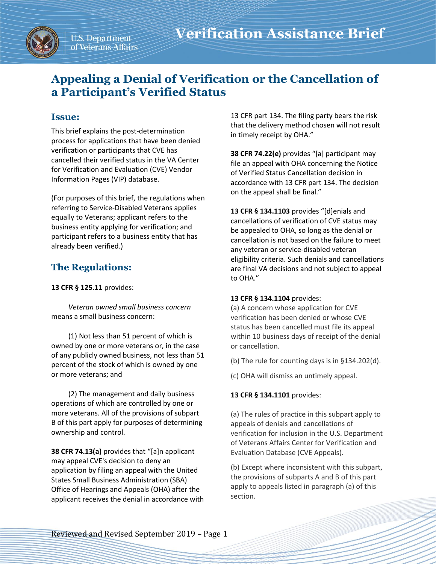

# **Appealing a Denial of Verification or the Cancellation of a Participant's Verified Status**

## **Issue:**

This brief explains the post-determination process for applications that have been denied verification or participants that CVE has cancelled their verified status in the VA Center for Verification and Evaluation (CVE) Vendor Information Pages (VIP) database.

(For purposes of this brief, the regulations when referring to Service-Disabled Veterans applies equally to Veterans; applicant refers to the business entity applying for verification; and participant refers to a business entity that has already been verified.)

## **The Regulations:**

**13 CFR § 125.11** provides:

*Veteran owned small business concern* means a small business concern:

(1) Not less than 51 percent of which is owned by one or more veterans or, in the case of any publicly owned business, not less than 51 percent of the stock of which is owned by one or more veterans; and

(2) The management and daily business operations of which are controlled by one or more veterans. All of the provisions of subpart B of this part apply for purposes of determining ownership and control.

**38 CFR 74.13(a)** provides that "[a]n applicant may appeal CVE's decision to deny an application by filing an appeal with the United States Small Business Administration (SBA) Office of Hearings and Appeals (OHA) after the applicant receives the denial in accordance with 13 CFR part 134. The filing party bears the risk that the delivery method chosen will not result in timely receipt by OHA."

**38 CFR 74.22(e)** provides "[a] participant may file an appeal with OHA concerning the Notice of Verified Status Cancellation decision in accordance with 13 CFR part 134. The decision on the appeal shall be final."

**13 CFR § 134.1103** provides "[d]enials and cancellations of verification of CVE status may be appealed to OHA, so long as the denial or cancellation is not based on the failure to meet any veteran or service-disabled veteran eligibility criteria. Such denials and cancellations are final VA decisions and not subject to appeal to OHA."

#### **13 CFR § 134.1104** provides:

(a) A concern whose application for CVE verification has been denied or whose CVE status has been cancelled must file its appeal within 10 business days of receipt of the denial or cancellation.

(b) The rule for counting days is in §134.202(d).

(c) OHA will dismiss an untimely appeal.

### **13 CFR § 134.1101** provides:

(a) The rules of practice in this subpart apply to appeals of denials and cancellations of verification for inclusion in the U.S. Department of Veterans Affairs Center for Verification and Evaluation Database (CVE Appeals).

(b) Except where inconsistent with this subpart, the provisions of subparts A and B of this part apply to appeals listed in paragraph (a) of this section.